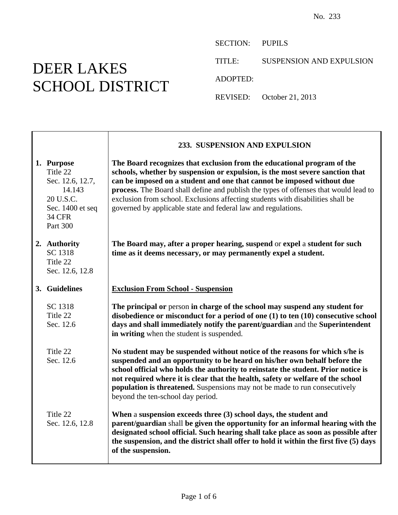## DEER LAKES SCHOOL DISTRICT

Ē

SECTION: PUPILS

TITLE: SUSPENSION AND EXPULSION

ADOPTED:

REVISED: October 21, 2013

|                                                                                                                    | 233. SUSPENSION AND EXPULSION                                                                                                                                                                                                                                                                                                                                                                                                                                                  |
|--------------------------------------------------------------------------------------------------------------------|--------------------------------------------------------------------------------------------------------------------------------------------------------------------------------------------------------------------------------------------------------------------------------------------------------------------------------------------------------------------------------------------------------------------------------------------------------------------------------|
| 1. Purpose<br>Title 22<br>Sec. 12.6, 12.7,<br>14.143<br>20 U.S.C.<br>Sec. 1400 et seq<br><b>34 CFR</b><br>Part 300 | The Board recognizes that exclusion from the educational program of the<br>schools, whether by suspension or expulsion, is the most severe sanction that<br>can be imposed on a student and one that cannot be imposed without due<br>process. The Board shall define and publish the types of offenses that would lead to<br>exclusion from school. Exclusions affecting students with disabilities shall be<br>governed by applicable state and federal law and regulations. |
| 2. Authority<br>SC 1318<br>Title 22<br>Sec. 12.6, 12.8                                                             | The Board may, after a proper hearing, suspend or expel a student for such<br>time as it deems necessary, or may permanently expel a student.                                                                                                                                                                                                                                                                                                                                  |
| 3. Guidelines                                                                                                      | <b>Exclusion From School - Suspension</b>                                                                                                                                                                                                                                                                                                                                                                                                                                      |
| SC 1318<br>Title 22<br>Sec. 12.6                                                                                   | The principal or person in charge of the school may suspend any student for<br>disobedience or misconduct for a period of one (1) to ten (10) consecutive school<br>days and shall immediately notify the parent/guardian and the Superintendent<br>in writing when the student is suspended.                                                                                                                                                                                  |
| Title 22<br>Sec. 12.6                                                                                              | No student may be suspended without notice of the reasons for which s/he is<br>suspended and an opportunity to be heard on his/her own behalf before the<br>school official who holds the authority to reinstate the student. Prior notice is<br>not required where it is clear that the health, safety or welfare of the school<br><b>population is threatened.</b> Suspensions may not be made to run consecutively<br>beyond the ten-school day period.                     |
| Title 22<br>Sec. 12.6, 12.8                                                                                        | When a suspension exceeds three (3) school days, the student and<br>parent/guardian shall be given the opportunity for an informal hearing with the<br>designated school official. Such hearing shall take place as soon as possible after<br>the suspension, and the district shall offer to hold it within the first five (5) days<br>of the suspension.                                                                                                                     |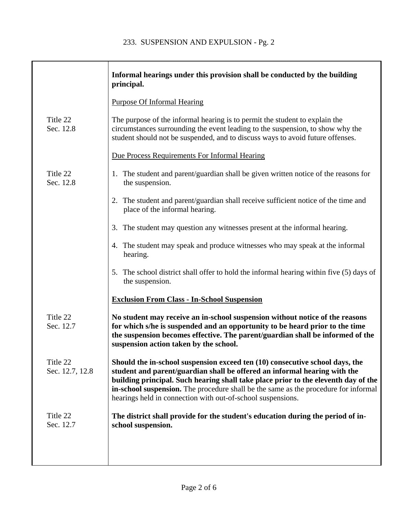|                             | Informal hearings under this provision shall be conducted by the building<br>principal.                                                                                                                                                                                                                                                                                                               |
|-----------------------------|-------------------------------------------------------------------------------------------------------------------------------------------------------------------------------------------------------------------------------------------------------------------------------------------------------------------------------------------------------------------------------------------------------|
|                             | <b>Purpose Of Informal Hearing</b>                                                                                                                                                                                                                                                                                                                                                                    |
| Title 22<br>Sec. 12.8       | The purpose of the informal hearing is to permit the student to explain the<br>circumstances surrounding the event leading to the suspension, to show why the<br>student should not be suspended, and to discuss ways to avoid future offenses.                                                                                                                                                       |
|                             | Due Process Requirements For Informal Hearing                                                                                                                                                                                                                                                                                                                                                         |
| Title 22<br>Sec. 12.8       | 1. The student and parent/guardian shall be given written notice of the reasons for<br>the suspension.                                                                                                                                                                                                                                                                                                |
|                             | 2. The student and parent/guardian shall receive sufficient notice of the time and<br>place of the informal hearing.                                                                                                                                                                                                                                                                                  |
|                             | 3. The student may question any witnesses present at the informal hearing.                                                                                                                                                                                                                                                                                                                            |
|                             | 4. The student may speak and produce witnesses who may speak at the informal<br>hearing.                                                                                                                                                                                                                                                                                                              |
|                             | The school district shall offer to hold the informal hearing within five (5) days of<br>5.<br>the suspension.                                                                                                                                                                                                                                                                                         |
|                             | <b>Exclusion From Class - In-School Suspension</b>                                                                                                                                                                                                                                                                                                                                                    |
| Title 22<br>Sec. 12.7       | No student may receive an in-school suspension without notice of the reasons<br>for which s/he is suspended and an opportunity to be heard prior to the time<br>the suspension becomes effective. The parent/guardian shall be informed of the<br>suspension action taken by the school.                                                                                                              |
| Title 22<br>Sec. 12.7, 12.8 | Should the in-school suspension exceed ten (10) consecutive school days, the<br>student and parent/guardian shall be offered an informal hearing with the<br>building principal. Such hearing shall take place prior to the eleventh day of the<br>in-school suspension. The procedure shall be the same as the procedure for informal<br>hearings held in connection with out-of-school suspensions. |
| Title 22<br>Sec. 12.7       | The district shall provide for the student's education during the period of in-<br>school suspension.                                                                                                                                                                                                                                                                                                 |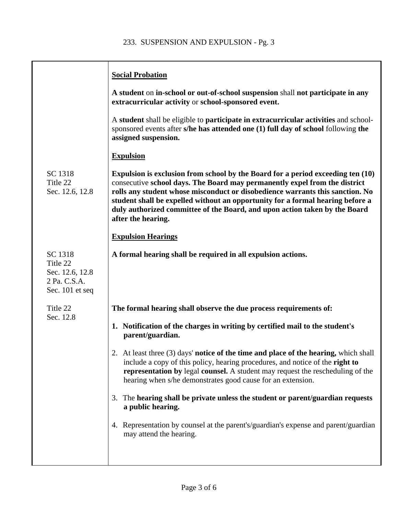|                                                                           | <b>Social Probation</b>                                                                                                                                                                                                                                                                                                                                                                                                              |
|---------------------------------------------------------------------------|--------------------------------------------------------------------------------------------------------------------------------------------------------------------------------------------------------------------------------------------------------------------------------------------------------------------------------------------------------------------------------------------------------------------------------------|
|                                                                           | A student on in-school or out-of-school suspension shall not participate in any<br>extracurricular activity or school-sponsored event.                                                                                                                                                                                                                                                                                               |
|                                                                           | A student shall be eligible to participate in extracurricular activities and school-<br>sponsored events after s/he has attended one (1) full day of school following the<br>assigned suspension.                                                                                                                                                                                                                                    |
|                                                                           | <b>Expulsion</b>                                                                                                                                                                                                                                                                                                                                                                                                                     |
| SC 1318<br>Title 22<br>Sec. 12.6, 12.8                                    | Expulsion is exclusion from school by the Board for a period exceeding ten (10)<br>consecutive school days. The Board may permanently expel from the district<br>rolls any student whose misconduct or disobedience warrants this sanction. No<br>student shall be expelled without an opportunity for a formal hearing before a<br>duly authorized committee of the Board, and upon action taken by the Board<br>after the hearing. |
|                                                                           | <b>Expulsion Hearings</b>                                                                                                                                                                                                                                                                                                                                                                                                            |
| SC 1318<br>Title 22<br>Sec. 12.6, 12.8<br>2 Pa. C.S.A.<br>Sec. 101 et seq | A formal hearing shall be required in all expulsion actions.                                                                                                                                                                                                                                                                                                                                                                         |
| Title 22<br>Sec. 12.8                                                     | The formal hearing shall observe the due process requirements of:                                                                                                                                                                                                                                                                                                                                                                    |
|                                                                           | 1. Notification of the charges in writing by certified mail to the student's<br>parent/guardian.                                                                                                                                                                                                                                                                                                                                     |
|                                                                           | 2. At least three (3) days' <b>notice of the time and place of the hearing,</b> which shall<br>include a copy of this policy, hearing procedures, and notice of the right to<br>representation by legal counsel. A student may request the rescheduling of the<br>hearing when s/he demonstrates good cause for an extension.                                                                                                        |
|                                                                           | 3. The hearing shall be private unless the student or parent/guardian requests<br>a public hearing.                                                                                                                                                                                                                                                                                                                                  |
|                                                                           | 4. Representation by counsel at the parent's/guardian's expense and parent/guardian<br>may attend the hearing.                                                                                                                                                                                                                                                                                                                       |
|                                                                           |                                                                                                                                                                                                                                                                                                                                                                                                                                      |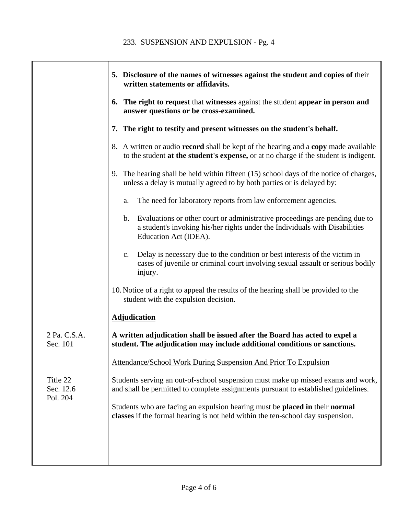|                                   | 5. Disclosure of the names of witnesses against the student and copies of their<br>written statements or affidavits.                                                                                  |
|-----------------------------------|-------------------------------------------------------------------------------------------------------------------------------------------------------------------------------------------------------|
|                                   | 6. The right to request that witnesses against the student appear in person and<br>answer questions or be cross-examined.                                                                             |
|                                   | 7. The right to testify and present witnesses on the student's behalf.                                                                                                                                |
|                                   | 8. A written or audio <b>record</b> shall be kept of the hearing and a <b>copy</b> made available<br>to the student at the student's expense, or at no charge if the student is indigent.             |
|                                   | 9. The hearing shall be held within fifteen (15) school days of the notice of charges,<br>unless a delay is mutually agreed to by both parties or is delayed by:                                      |
|                                   | The need for laboratory reports from law enforcement agencies.<br>a.                                                                                                                                  |
|                                   | Evaluations or other court or administrative proceedings are pending due to<br>$\mathbf{b}$ .<br>a student's invoking his/her rights under the Individuals with Disabilities<br>Education Act (IDEA). |
|                                   | Delay is necessary due to the condition or best interests of the victim in<br>$c_{\cdot}$<br>cases of juvenile or criminal court involving sexual assault or serious bodily<br>injury.                |
|                                   | 10. Notice of a right to appeal the results of the hearing shall be provided to the<br>student with the expulsion decision.                                                                           |
|                                   | <b>Adjudication</b>                                                                                                                                                                                   |
| 2 Pa. C.S.A.<br>Sec. 101          | A written adjudication shall be issued after the Board has acted to expel a<br>student. The adjudication may include additional conditions or sanctions.                                              |
|                                   | Attendance/School Work During Suspension And Prior To Expulsion                                                                                                                                       |
| Title 22<br>Sec. 12.6<br>Pol. 204 | Students serving an out-of-school suspension must make up missed exams and work,<br>and shall be permitted to complete assignments pursuant to established guidelines.                                |
|                                   | Students who are facing an expulsion hearing must be placed in their normal<br>classes if the formal hearing is not held within the ten-school day suspension.                                        |
|                                   |                                                                                                                                                                                                       |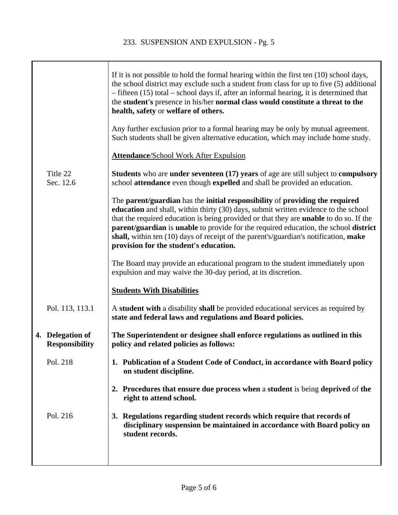|                                           | If it is not possible to hold the formal hearing within the first ten $(10)$ school days,<br>the school district may exclude such a student from class for up to five (5) additional<br>$-$ fifteen (15) total – school days if, after an informal hearing, it is determined that<br>the student's presence in his/her normal class would constitute a threat to the<br>health, safety or welfare of others.                                                                                   |
|-------------------------------------------|------------------------------------------------------------------------------------------------------------------------------------------------------------------------------------------------------------------------------------------------------------------------------------------------------------------------------------------------------------------------------------------------------------------------------------------------------------------------------------------------|
|                                           | Any further exclusion prior to a formal hearing may be only by mutual agreement.<br>Such students shall be given alternative education, which may include home study.                                                                                                                                                                                                                                                                                                                          |
|                                           | <b>Attendance/School Work After Expulsion</b>                                                                                                                                                                                                                                                                                                                                                                                                                                                  |
| Title 22<br>Sec. 12.6                     | Students who are under seventeen (17) years of age are still subject to compulsory<br>school attendance even though expelled and shall be provided an education.                                                                                                                                                                                                                                                                                                                               |
|                                           | The parent/guardian has the initial responsibility of providing the required<br>education and shall, within thirty (30) days, submit written evidence to the school<br>that the required education is being provided or that they are <b>unable</b> to do so. If the<br>parent/guardian is unable to provide for the required education, the school district<br>shall, within ten (10) days of receipt of the parent's/guardian's notification, make<br>provision for the student's education. |
|                                           | The Board may provide an educational program to the student immediately upon<br>expulsion and may waive the 30-day period, at its discretion.                                                                                                                                                                                                                                                                                                                                                  |
|                                           | <b>Students With Disabilities</b>                                                                                                                                                                                                                                                                                                                                                                                                                                                              |
| Pol. 113, 113.1                           | A student with a disability shall be provided educational services as required by<br>state and federal laws and regulations and Board policies.                                                                                                                                                                                                                                                                                                                                                |
| 4. Delegation of<br><b>Responsibility</b> | The Superintendent or designee shall enforce regulations as outlined in this<br>policy and related policies as follows:                                                                                                                                                                                                                                                                                                                                                                        |
| Pol. 218                                  | 1. Publication of a Student Code of Conduct, in accordance with Board policy<br>on student discipline.                                                                                                                                                                                                                                                                                                                                                                                         |
|                                           | 2. Procedures that ensure due process when a student is being deprived of the<br>right to attend school.                                                                                                                                                                                                                                                                                                                                                                                       |
| Pol. 216                                  | 3. Regulations regarding student records which require that records of<br>disciplinary suspension be maintained in accordance with Board policy on<br>student records.                                                                                                                                                                                                                                                                                                                         |
|                                           |                                                                                                                                                                                                                                                                                                                                                                                                                                                                                                |